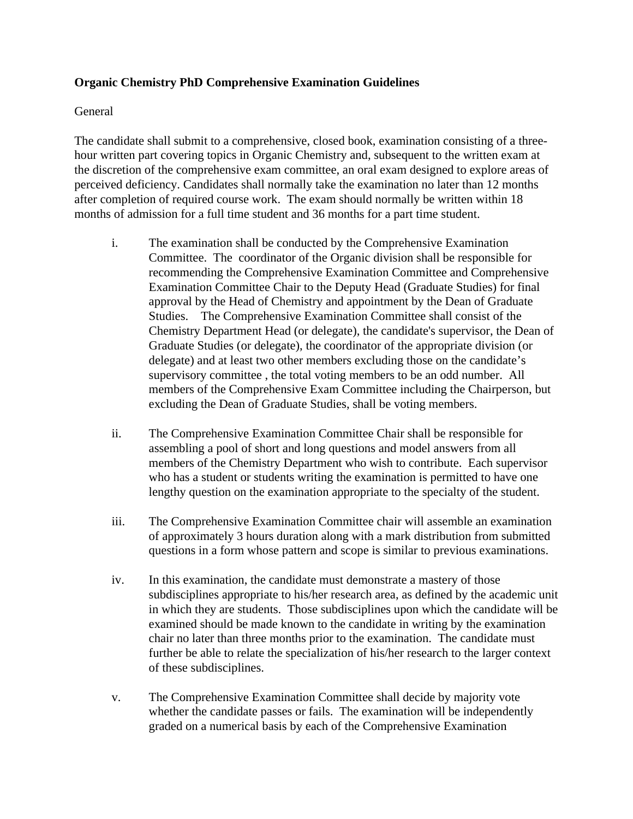## **Organic Chemistry PhD Comprehensive Examination Guidelines**

## General

The candidate shall submit to a comprehensive, closed book, examination consisting of a threehour written part covering topics in Organic Chemistry and, subsequent to the written exam at the discretion of the comprehensive exam committee, an oral exam designed to explore areas of perceived deficiency. Candidates shall normally take the examination no later than 12 months after completion of required course work. The exam should normally be written within 18 months of admission for a full time student and 36 months for a part time student.

- i. The examination shall be conducted by the Comprehensive Examination Committee. The coordinator of the Organic division shall be responsible for recommending the Comprehensive Examination Committee and Comprehensive Examination Committee Chair to the Deputy Head (Graduate Studies) for final approval by the Head of Chemistry and appointment by the Dean of Graduate Studies. The Comprehensive Examination Committee shall consist of the Chemistry Department Head (or delegate), the candidate's supervisor, the Dean of Graduate Studies (or delegate), the coordinator of the appropriate division (or delegate) and at least two other members excluding those on the candidate's supervisory committee , the total voting members to be an odd number. All members of the Comprehensive Exam Committee including the Chairperson, but excluding the Dean of Graduate Studies, shall be voting members.
- ii. The Comprehensive Examination Committee Chair shall be responsible for assembling a pool of short and long questions and model answers from all members of the Chemistry Department who wish to contribute. Each supervisor who has a student or students writing the examination is permitted to have one lengthy question on the examination appropriate to the specialty of the student.
- iii. The Comprehensive Examination Committee chair will assemble an examination of approximately 3 hours duration along with a mark distribution from submitted questions in a form whose pattern and scope is similar to previous examinations.
- iv. In this examination, the candidate must demonstrate a mastery of those subdisciplines appropriate to his/her research area, as defined by the academic unit in which they are students. Those subdisciplines upon which the candidate will be examined should be made known to the candidate in writing by the examination chair no later than three months prior to the examination. The candidate must further be able to relate the specialization of his/her research to the larger context of these subdisciplines.
- v. The Comprehensive Examination Committee shall decide by majority vote whether the candidate passes or fails. The examination will be independently graded on a numerical basis by each of the Comprehensive Examination